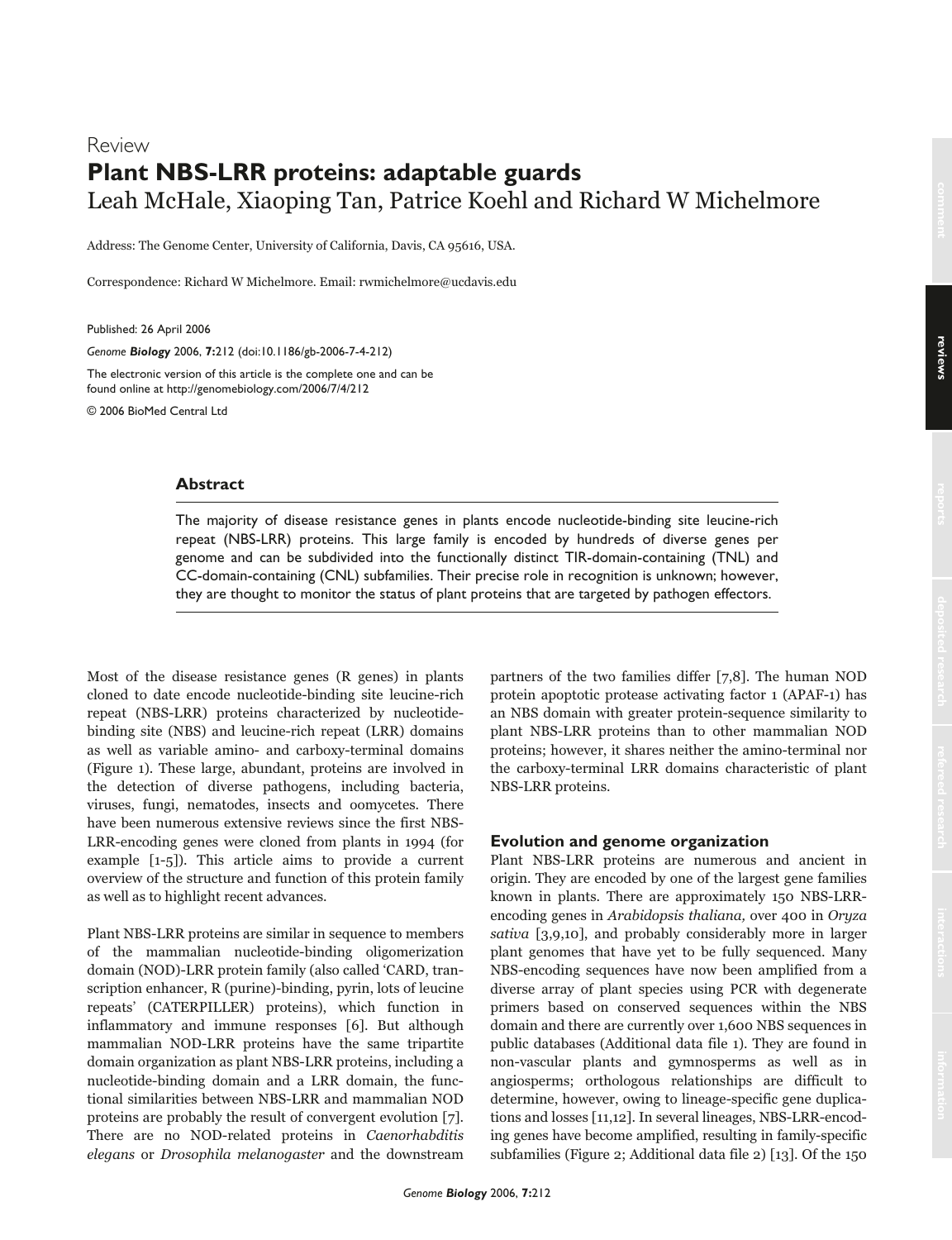# Review **Plant NBS-LRR proteins: adaptable guards** Leah McHale, Xiaoping Tan, Patrice Koehl and Richard W Michelmore

Address: The Genome Center, University of California, Davis, CA 95616, USA.

Correspondence: Richard W Michelmore. Email: rwmichelmore@ucdavis.edu

Published: 26 April 2006

*Genome Biology* 2006, **7:**212 (doi:10.1186/gb-2006-7-4-212)

The electronic version of this article is the complete one and can be found online at http://genomebiology.com/2006/7/4/212

© 2006 BioMed Central Ltd

## **Abstract**

The majority of disease resistance genes in plants encode nucleotide-binding site leucine-rich repeat (NBS-LRR) proteins. This large family is encoded by hundreds of diverse genes per genome and can be subdivided into the functionally distinct TIR-domain-containing (TNL) and CC-domain-containing (CNL) subfamilies. Their precise role in recognition is unknown; however, they are thought to monitor the status of plant proteins that are targeted by pathogen effectors.

Most of the disease resistance genes (R genes) in plants cloned to date encode nucleotide-binding site leucine-rich repeat (NBS-LRR) proteins characterized by nucleotidebinding site (NBS) and leucine-rich repeat (LRR) domains as well as variable amino- and carboxy-terminal domains (Figure 1). These large, abundant, proteins are involved in the detection of diverse pathogens, including bacteria, viruses, fungi, nematodes, insects and oomycetes. There have been numerous extensive reviews since the first NBS-LRR-encoding genes were cloned from plants in 1994 (for example [1-5]). This article aims to provide a current overview of the structure and function of this protein family as well as to highlight recent advances.

Plant NBS-LRR proteins are similar in sequence to members of the mammalian nucleotide-binding oligomerization domain (NOD)-LRR protein family (also called 'CARD, transcription enhancer, R (purine)-binding, pyrin, lots of leucine repeats' (CATERPILLER) proteins), which function in inflammatory and immune responses [6]. But although mammalian NOD-LRR proteins have the same tripartite domain organization as plant NBS-LRR proteins, including a nucleotide-binding domain and a LRR domain, the functional similarities between NBS-LRR and mammalian NOD proteins are probably the result of convergent evolution [7]. There are no NOD-related proteins in Caenorhabditis elegans or Drosophila melanogaster and the downstream

partners of the two families differ [7,8]. The human NOD protein apoptotic protease activating factor 1 (APAF-1) has an NBS domain with greater protein-sequence similarity to plant NBS-LRR proteins than to other mammalian NOD proteins; however, it shares neither the amino-terminal nor the carboxy-terminal LRR domains characteristic of plant NBS-LRR proteins.

## **Evolution and genome organization**

Plant NBS-LRR proteins are numerous and ancient in origin. They are encoded by one of the largest gene families known in plants. There are approximately 150 NBS-LRRencoding genes in Arabidopsis thaliana, over 400 in Oryza sativa [3,9,10], and probably considerably more in larger plant genomes that have yet to be fully sequenced. Many NBS-encoding sequences have now been amplified from a diverse array of plant species using PCR with degenerate primers based on conserved sequences within the NBS domain and there are currently over 1,600 NBS sequences in public databases (Additional data file 1). They are found in non-vascular plants and gymnosperms as well as in angiosperms; orthologous relationships are difficult to determine, however, owing to lineage-specific gene duplications and losses [11,12]. In several lineages, NBS-LRR-encoding genes have become amplified, resulting in family-specific subfamilies (Figure 2; Additional data file 2) [13]. Of the 150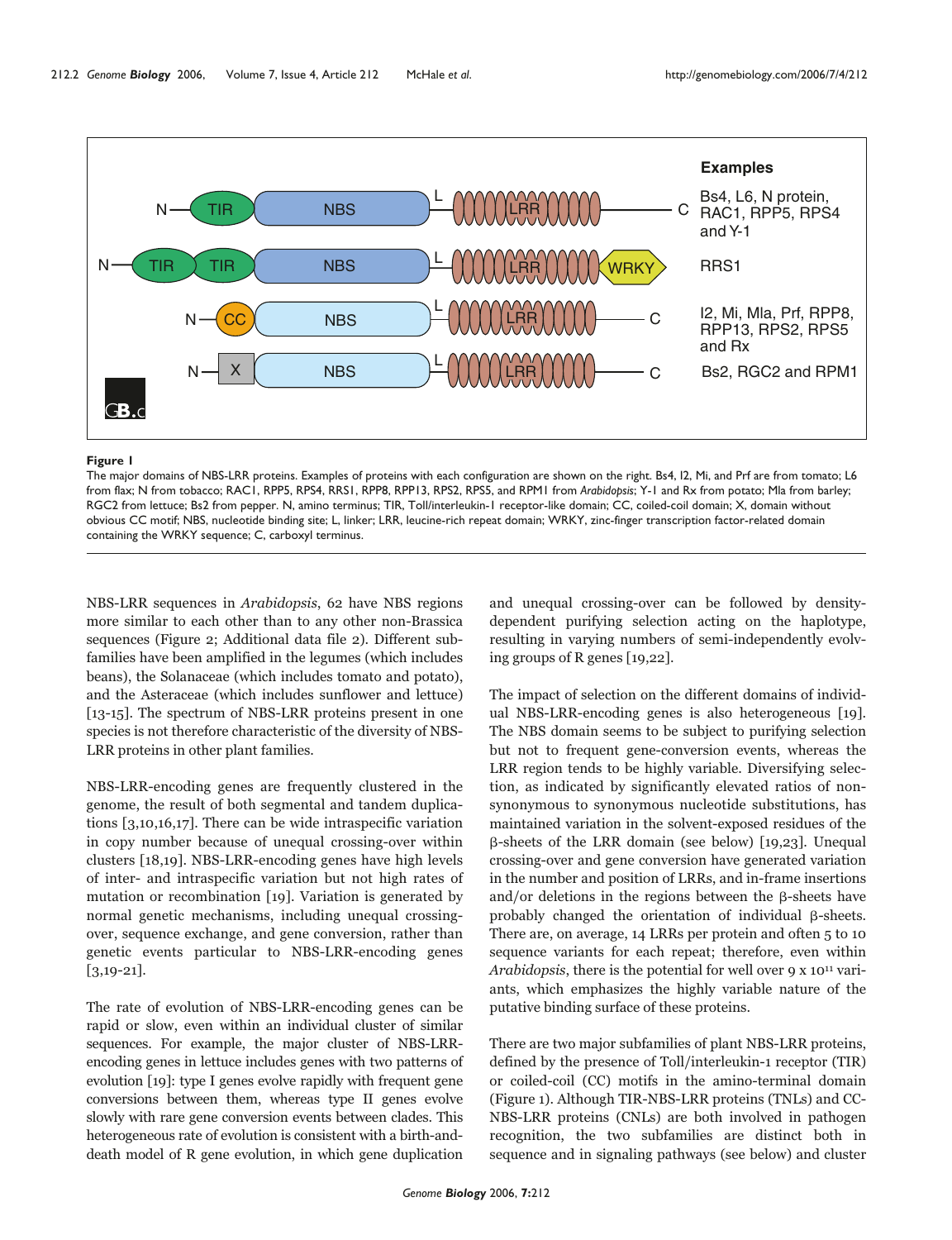

### **Figure 1**

The major domains of NBS-LRR proteins. Examples of proteins with each configuration are shown on the right. Bs4, I2, Mi, and Prf are from tomato; L6 from flax; N from tobacco; RAC1, RPP5, RPS4, RRS1, RPP8, RPP13, RPS2, RPS5, and RPM1 from *Arabidopsis*; Y-1 and Rx from potato; Mla from barley; RGC2 from lettuce; Bs2 from pepper. N, amino terminus; TIR, Toll/interleukin-1 receptor-like domain; CC, coiled-coil domain; X, domain without obvious CC motif; NBS, nucleotide binding site; L, linker; LRR, leucine-rich repeat domain; WRKY, zinc-finger transcription factor-related domain containing the WRKY sequence; C, carboxyl terminus.

NBS-LRR sequences in Arabidopsis, 62 have NBS regions more similar to each other than to any other non-Brassica sequences (Figure 2; Additional data file 2). Different subfamilies have been amplified in the legumes (which includes beans), the Solanaceae (which includes tomato and potato), and the Asteraceae (which includes sunflower and lettuce) [13-15]. The spectrum of NBS-LRR proteins present in one species is not therefore characteristic of the diversity of NBS-LRR proteins in other plant families.

NBS-LRR-encoding genes are frequently clustered in the genome, the result of both segmental and tandem duplications [3,10,16,17]. There can be wide intraspecific variation in copy number because of unequal crossing-over within clusters [18,19]. NBS-LRR-encoding genes have high levels of inter- and intraspecific variation but not high rates of mutation or recombination [19]. Variation is generated by normal genetic mechanisms, including unequal crossingover, sequence exchange, and gene conversion, rather than genetic events particular to NBS-LRR-encoding genes  $[3,19-21]$ .

The rate of evolution of NBS-LRR-encoding genes can be rapid or slow, even within an individual cluster of similar sequences. For example, the major cluster of NBS-LRRencoding genes in lettuce includes genes with two patterns of evolution [19]: type I genes evolve rapidly with frequent gene conversions between them, whereas type II genes evolve slowly with rare gene conversion events between clades. This heterogeneous rate of evolution is consistent with a birth-anddeath model of R gene evolution, in which gene duplication

and unequal crossing-over can be followed by densitydependent purifying selection acting on the haplotype, resulting in varying numbers of semi-independently evolving groups of R genes [19,22].

The impact of selection on the different domains of individual NBS-LRR-encoding genes is also heterogeneous [19]. The NBS domain seems to be subject to purifying selection but not to frequent gene-conversion events, whereas the LRR region tends to be highly variable. Diversifying selection, as indicated by significantly elevated ratios of nonsynonymous to synonymous nucleotide substitutions, has maintained variation in the solvent-exposed residues of the -sheets of the LRR domain (see below) [19,23]. Unequal crossing-over and gene conversion have generated variation in the number and position of LRRs, and in-frame insertions and/or deletions in the regions between the  $\beta$ -sheets have probably changed the orientation of individual  $\beta$ -sheets. There are, on average, 14 LRRs per protein and often 5 to 10 sequence variants for each repeat; therefore, even within Arabidopsis, there is the potential for well over  $9 \times 10^{11}$  variants, which emphasizes the highly variable nature of the putative binding surface of these proteins.

There are two major subfamilies of plant NBS-LRR proteins, defined by the presence of Toll/interleukin-1 receptor (TIR) or coiled-coil (CC) motifs in the amino-terminal domain (Figure 1). Although TIR-NBS-LRR proteins (TNLs) and CC-NBS-LRR proteins (CNLs) are both involved in pathogen recognition, the two subfamilies are distinct both in sequence and in signaling pathways (see below) and cluster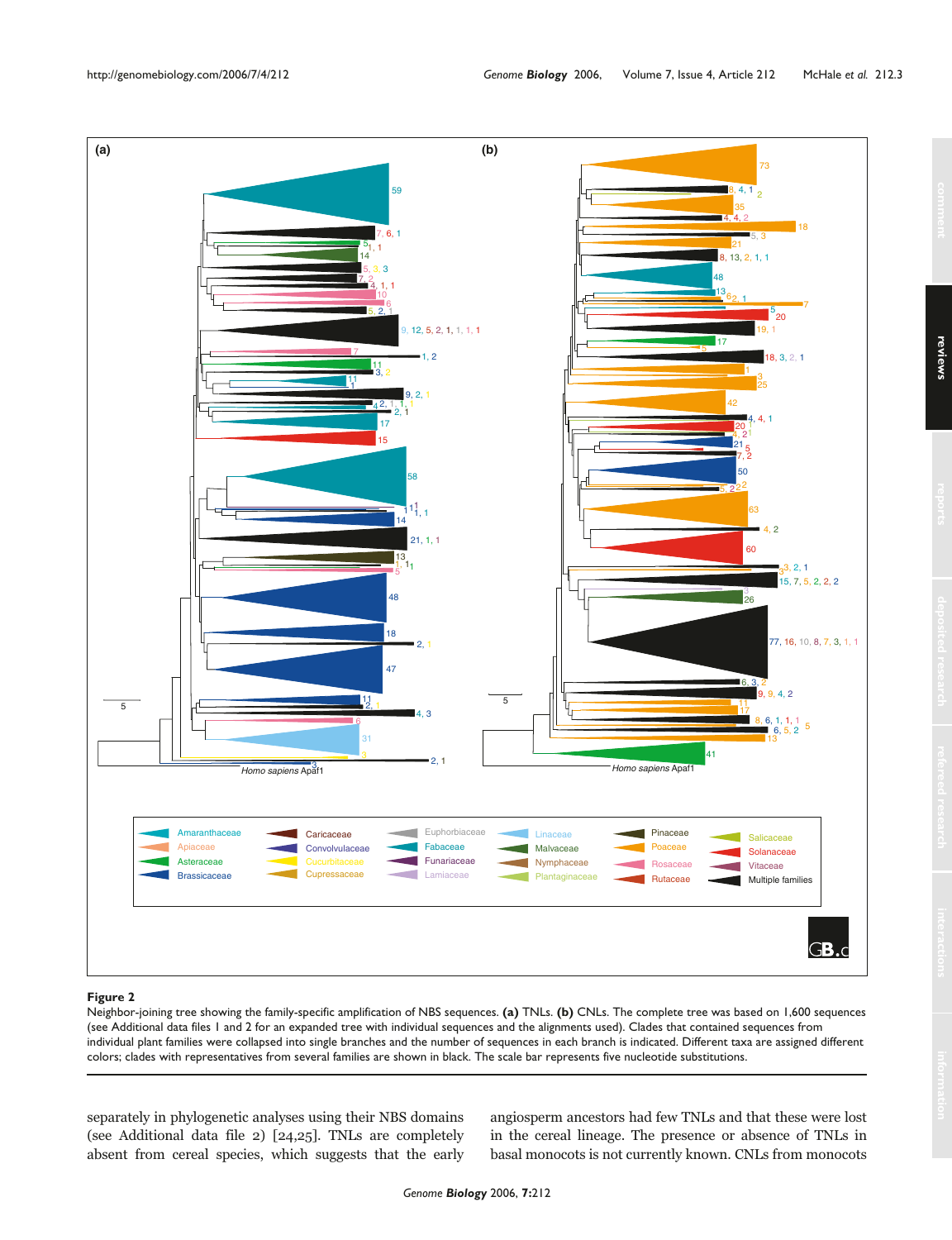

#### **Figure 2**

Neighbor-joining tree showing the family-specific amplification of NBS sequences. **(a)** TNLs. **(b)** CNLs. The complete tree was based on 1,600 sequences (see Additional data files 1 and 2 for an expanded tree with individual sequences and the alignments used). Clades that contained sequences from individual plant families were collapsed into single branches and the number of sequences in each branch is indicated. Different taxa are assigned different colors; clades with representatives from several families are shown in black. The scale bar represents five nucleotide substitutions.

separately in phylogenetic analyses using their NBS domains (see Additional data file 2) [24,25]. TNLs are completely absent from cereal species, which suggests that the early angiosperm ancestors had few TNLs and that these were lost in the cereal lineage. The presence or absence of TNLs in basal monocots is not currently known. CNLs from monocots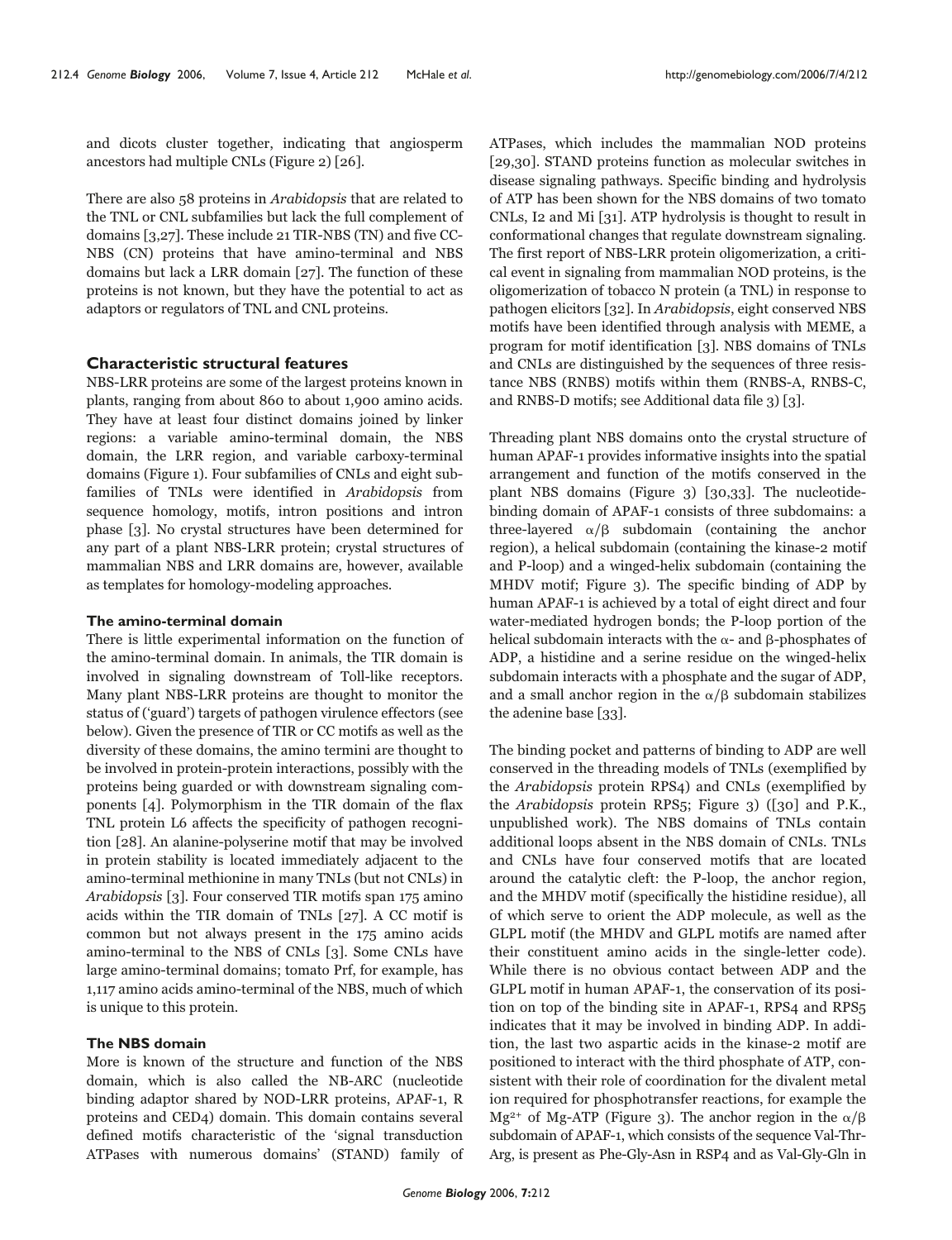and dicots cluster together, indicating that angiosperm ancestors had multiple CNLs (Figure 2) [26].

There are also 58 proteins in Arabidopsis that are related to the TNL or CNL subfamilies but lack the full complement of domains [3,27]. These include 21 TIR-NBS (TN) and five CC-NBS (CN) proteins that have amino-terminal and NBS domains but lack a LRR domain [27]. The function of these proteins is not known, but they have the potential to act as adaptors or regulators of TNL and CNL proteins.

## **Characteristic structural features**

NBS-LRR proteins are some of the largest proteins known in plants, ranging from about 860 to about 1,900 amino acids. They have at least four distinct domains joined by linker regions: a variable amino-terminal domain, the NBS domain, the LRR region, and variable carboxy-terminal domains (Figure 1). Four subfamilies of CNLs and eight subfamilies of TNLs were identified in Arabidopsis from sequence homology, motifs, intron positions and intron phase [3]. No crystal structures have been determined for any part of a plant NBS-LRR protein; crystal structures of mammalian NBS and LRR domains are, however, available as templates for homology-modeling approaches.

### **The amino-terminal domain**

There is little experimental information on the function of the amino-terminal domain. In animals, the TIR domain is involved in signaling downstream of Toll-like receptors. Many plant NBS-LRR proteins are thought to monitor the status of ('guard') targets of pathogen virulence effectors (see below). Given the presence of TIR or CC motifs as well as the diversity of these domains, the amino termini are thought to be involved in protein-protein interactions, possibly with the proteins being guarded or with downstream signaling components [4]. Polymorphism in the TIR domain of the flax TNL protein L6 affects the specificity of pathogen recognition [28]. An alanine-polyserine motif that may be involved in protein stability is located immediately adjacent to the amino-terminal methionine in many TNLs (but not CNLs) in Arabidopsis [3]. Four conserved TIR motifs span 175 amino acids within the TIR domain of TNLs [27]. A CC motif is common but not always present in the 175 amino acids amino-terminal to the NBS of CNLs [3]. Some CNLs have large amino-terminal domains; tomato Prf, for example, has 1,117 amino acids amino-terminal of the NBS, much of which is unique to this protein.

### **The NBS domain**

More is known of the structure and function of the NBS domain, which is also called the NB-ARC (nucleotide binding adaptor shared by NOD-LRR proteins, APAF-1, R proteins and CED4) domain. This domain contains several defined motifs characteristic of the 'signal transduction ATPases with numerous domains' (STAND) family of ATPases, which includes the mammalian NOD proteins [29,30]. STAND proteins function as molecular switches in disease signaling pathways. Specific binding and hydrolysis of ATP has been shown for the NBS domains of two tomato CNLs, I2 and Mi [31]. ATP hydrolysis is thought to result in conformational changes that regulate downstream signaling. The first report of NBS-LRR protein oligomerization, a critical event in signaling from mammalian NOD proteins, is the oligomerization of tobacco N protein (a TNL) in response to pathogen elicitors [32]. In Arabidopsis, eight conserved NBS motifs have been identified through analysis with MEME, a program for motif identification [3]. NBS domains of TNLs and CNLs are distinguished by the sequences of three resistance NBS (RNBS) motifs within them (RNBS-A, RNBS-C, and RNBS-D motifs; see Additional data file 3) [3].

Threading plant NBS domains onto the crystal structure of human APAF-1 provides informative insights into the spatial arrangement and function of the motifs conserved in the plant NBS domains (Figure 3) [30,33]. The nucleotidebinding domain of APAF-1 consists of three subdomains: a three-layered  $\alpha/\beta$  subdomain (containing the anchor region), a helical subdomain (containing the kinase-2 motif and P-loop) and a winged-helix subdomain (containing the MHDV motif; Figure 3). The specific binding of ADP by human APAF-1 is achieved by a total of eight direct and four water-mediated hydrogen bonds; the P-loop portion of the helical subdomain interacts with the  $\alpha$ - and β-phosphates of ADP, a histidine and a serine residue on the winged-helix subdomain interacts with a phosphate and the sugar of ADP, and a small anchor region in the  $\alpha/\beta$  subdomain stabilizes the adenine base [33].

The binding pocket and patterns of binding to ADP are well conserved in the threading models of TNLs (exemplified by the Arabidopsis protein RPS4) and CNLs (exemplified by the Arabidopsis protein RPS5; Figure 3) ([30] and P.K., unpublished work). The NBS domains of TNLs contain additional loops absent in the NBS domain of CNLs. TNLs and CNLs have four conserved motifs that are located around the catalytic cleft: the P-loop, the anchor region, and the MHDV motif (specifically the histidine residue), all of which serve to orient the ADP molecule, as well as the GLPL motif (the MHDV and GLPL motifs are named after their constituent amino acids in the single-letter code). While there is no obvious contact between ADP and the GLPL motif in human APAF-1, the conservation of its position on top of the binding site in APAF-1, RPS4 and RPS5 indicates that it may be involved in binding ADP. In addition, the last two aspartic acids in the kinase-2 motif are positioned to interact with the third phosphate of ATP, consistent with their role of coordination for the divalent metal ion required for phosphotransfer reactions, for example the  $Mg^{2+}$  of Mg-ATP (Figure 3). The anchor region in the  $\alpha/\beta$ subdomain of APAF-1, which consists of the sequence Val-Thr-Arg, is present as Phe-Gly-Asn in RSP4 and as Val-Gly-Gln in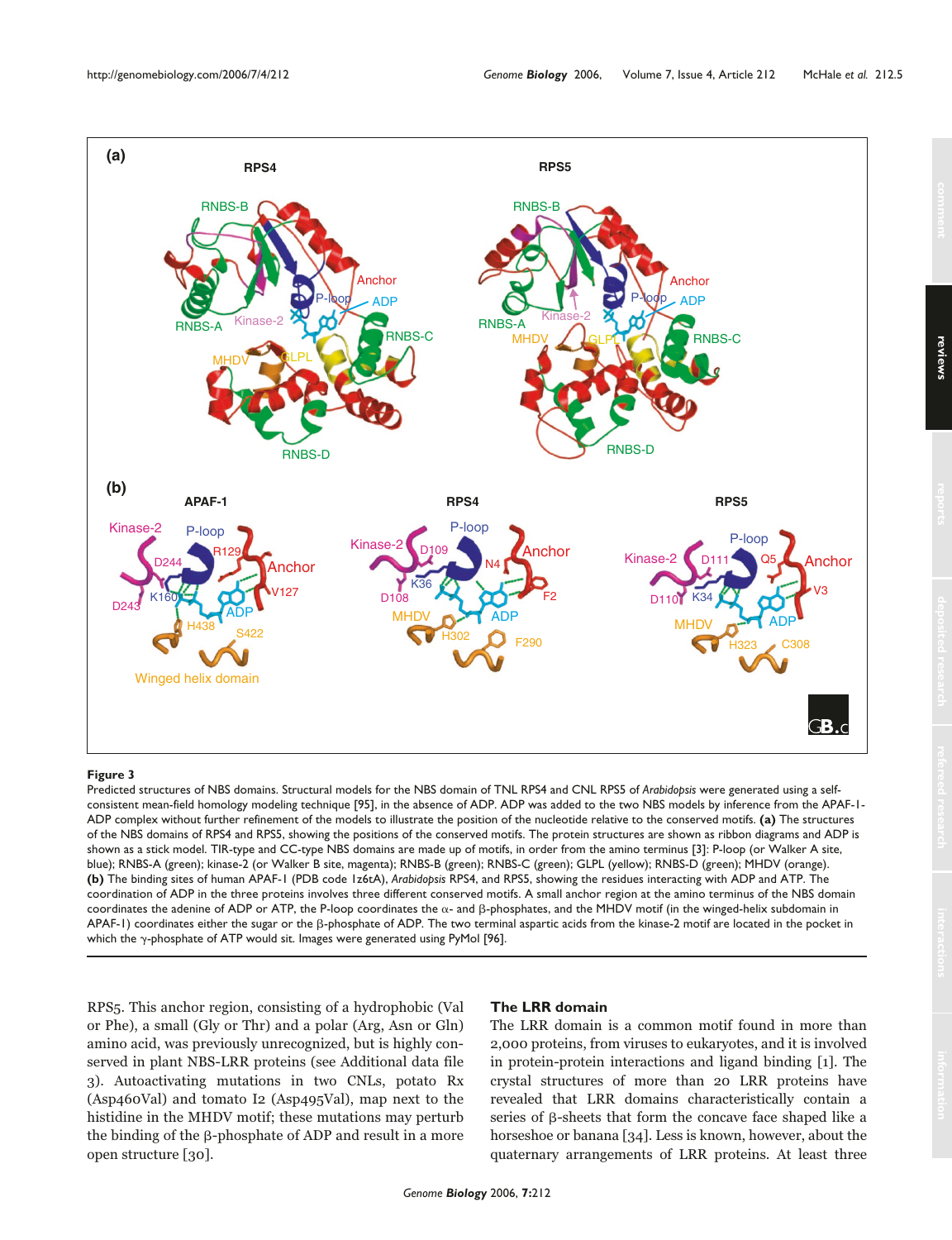

#### **Figure 3**

Predicted structures of NBS domains. Structural models for the NBS domain of TNL RPS4 and CNL RPS5 of *Arabidopsis* were generated using a selfconsistent mean-field homology modeling technique [95], in the absence of ADP. ADP was added to the two NBS models by inference from the APAF-1- ADP complex without further refinement of the models to illustrate the position of the nucleotide relative to the conserved motifs. **(a)** The structures of the NBS domains of RPS4 and RPS5, showing the positions of the conserved motifs. The protein structures are shown as ribbon diagrams and ADP is shown as a stick model. TIR-type and CC-type NBS domains are made up of motifs, in order from the amino terminus [3]: P-loop (or Walker A site, blue); RNBS-A (green); kinase-2 (or Walker B site, magenta); RNBS-B (green); RNBS-C (green); GLPL (yellow); RNBS-D (green); MHDV (orange). **(b)** The binding sites of human APAF-1 (PDB code 1z6tA), *Arabidopsis* RPS4, and RPS5, showing the residues interacting with ADP and ATP. The coordination of ADP in the three proteins involves three different conserved motifs. A small anchor region at the amino terminus of the NBS domain coordinates the adenine of ADP or ATP, the P-loop coordinates the  $\alpha$ - and β-phosphates, and the MHDV motif (in the winged-helix subdomain in  $APAF-1$ ) coordinates either the sugar or the  $\beta$ -phosphate of ADP. The two terminal aspartic acids from the kinase-2 motif are located in the pocket in which the  $\gamma$ -phosphate of ATP would sit. Images were generated using PyMol [96].

RPS5. This anchor region, consisting of a hydrophobic (Val or Phe), a small (Gly or Thr) and a polar (Arg, Asn or Gln) amino acid, was previously unrecognized, but is highly conserved in plant NBS-LRR proteins (see Additional data file 3). Autoactivating mutations in two CNLs, potato Rx (Asp460Val) and tomato I2 (Asp495Val), map next to the histidine in the MHDV motif; these mutations may perturb the binding of the  $\beta$ -phosphate of ADP and result in a more open structure [30].

## **The LRR domain**

The LRR domain is a common motif found in more than 2,000 proteins, from viruses to eukaryotes, and it is involved in protein-protein interactions and ligand binding [1]. The crystal structures of more than 20 LRR proteins have revealed that LRR domains characteristically contain a series of  $\beta$ -sheets that form the concave face shaped like a horseshoe or banana [34]. Less is known, however, about the quaternary arrangements of LRR proteins. At least three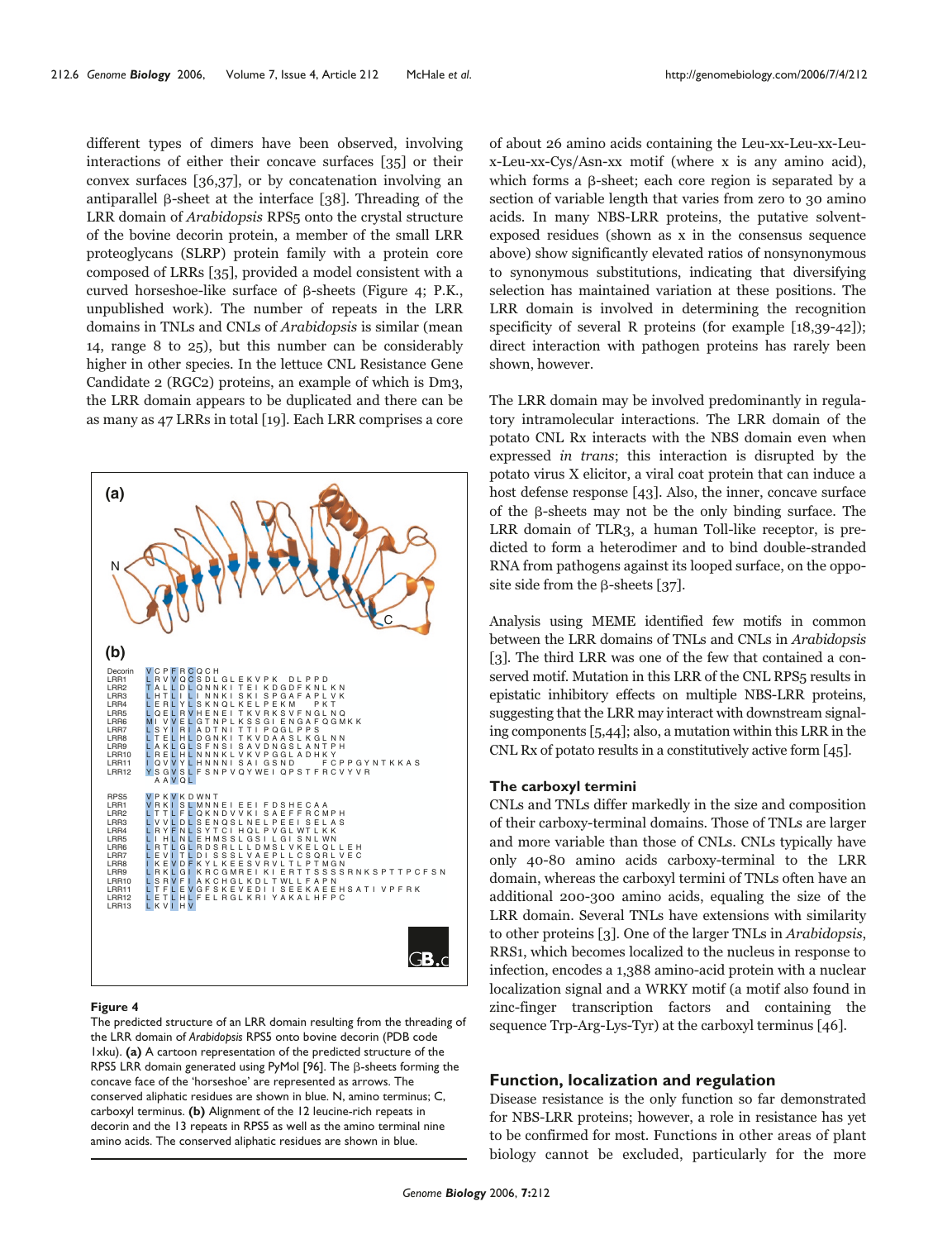different types of dimers have been observed, involving interactions of either their concave surfaces [35] or their convex surfaces [36,37], or by concatenation involving an antiparallel  $\beta$ -sheet at the interface [38]. Threading of the LRR domain of Arabidopsis RPS5 onto the crystal structure of the bovine decorin protein, a member of the small LRR proteoglycans (SLRP) protein family with a protein core composed of LRRs [35], provided a model consistent with a curved horseshoe-like surface of  $\beta$ -sheets (Figure 4; P.K., unpublished work). The number of repeats in the LRR domains in TNLs and CNLs of Arabidopsis is similar (mean 14, range 8 to 25), but this number can be considerably higher in other species. In the lettuce CNL Resistance Gene Candidate 2 (RGC2) proteins, an example of which is Dm3, the LRR domain appears to be duplicated and there can be as many as 47 LRRs in total [19]. Each LRR comprises a core



#### **Figure 4**

The predicted structure of an LRR domain resulting from the threading of the LRR domain of *Arabidopsis* RPS5 onto bovine decorin (PDB code 1xku). **(a)** A cartoon representation of the predicted structure of the RPS5 LRR domain generated using PyMol [96]. The  $\beta$ -sheets forming the concave face of the 'horseshoe' are represented as arrows. The conserved aliphatic residues are shown in blue. N, amino terminus; C, carboxyl terminus. **(b)** Alignment of the 12 leucine-rich repeats in decorin and the 13 repeats in RPS5 as well as the amino terminal nine amino acids. The conserved aliphatic residues are shown in blue.

of about 26 amino acids containing the Leu-xx-Leu-xx-Leux-Leu-xx-Cys/Asn-xx motif (where x is any amino acid), which forms a  $\beta$ -sheet; each core region is separated by a section of variable length that varies from zero to 30 amino acids. In many NBS-LRR proteins, the putative solventexposed residues (shown as x in the consensus sequence above) show significantly elevated ratios of nonsynonymous to synonymous substitutions, indicating that diversifying selection has maintained variation at these positions. The LRR domain is involved in determining the recognition specificity of several R proteins (for example [18,39-42]); direct interaction with pathogen proteins has rarely been shown, however.

The LRR domain may be involved predominantly in regulatory intramolecular interactions. The LRR domain of the potato CNL Rx interacts with the NBS domain even when expressed in trans; this interaction is disrupted by the potato virus X elicitor, a viral coat protein that can induce a host defense response [43]. Also, the inner, concave surface of the  $\beta$ -sheets may not be the only binding surface. The LRR domain of TLR3, a human Toll-like receptor, is predicted to form a heterodimer and to bind double-stranded RNA from pathogens against its looped surface, on the opposite side from the  $\beta$ -sheets [37].

Analysis using MEME identified few motifs in common between the LRR domains of TNLs and CNLs in Arabidopsis [3]. The third LRR was one of the few that contained a conserved motif. Mutation in this LRR of the CNL RPS5 results in epistatic inhibitory effects on multiple NBS-LRR proteins, suggesting that the LRR may interact with downstream signaling components [5,44]; also, a mutation within this LRR in the CNL Rx of potato results in a constitutively active form [45].

### **The carboxyl termini**

CNLs and TNLs differ markedly in the size and composition of their carboxy-terminal domains. Those of TNLs are larger and more variable than those of CNLs. CNLs typically have only 40-80 amino acids carboxy-terminal to the LRR domain, whereas the carboxyl termini of TNLs often have an additional 200-300 amino acids, equaling the size of the LRR domain. Several TNLs have extensions with similarity to other proteins [3]. One of the larger TNLs in Arabidopsis, RRS1, which becomes localized to the nucleus in response to infection, encodes a 1,388 amino-acid protein with a nuclear localization signal and a WRKY motif (a motif also found in zinc-finger transcription factors and containing the sequence Trp-Arg-Lys-Tyr) at the carboxyl terminus [46].

## **Function, localization and regulation**

Disease resistance is the only function so far demonstrated for NBS-LRR proteins; however, a role in resistance has yet to be confirmed for most. Functions in other areas of plant biology cannot be excluded, particularly for the more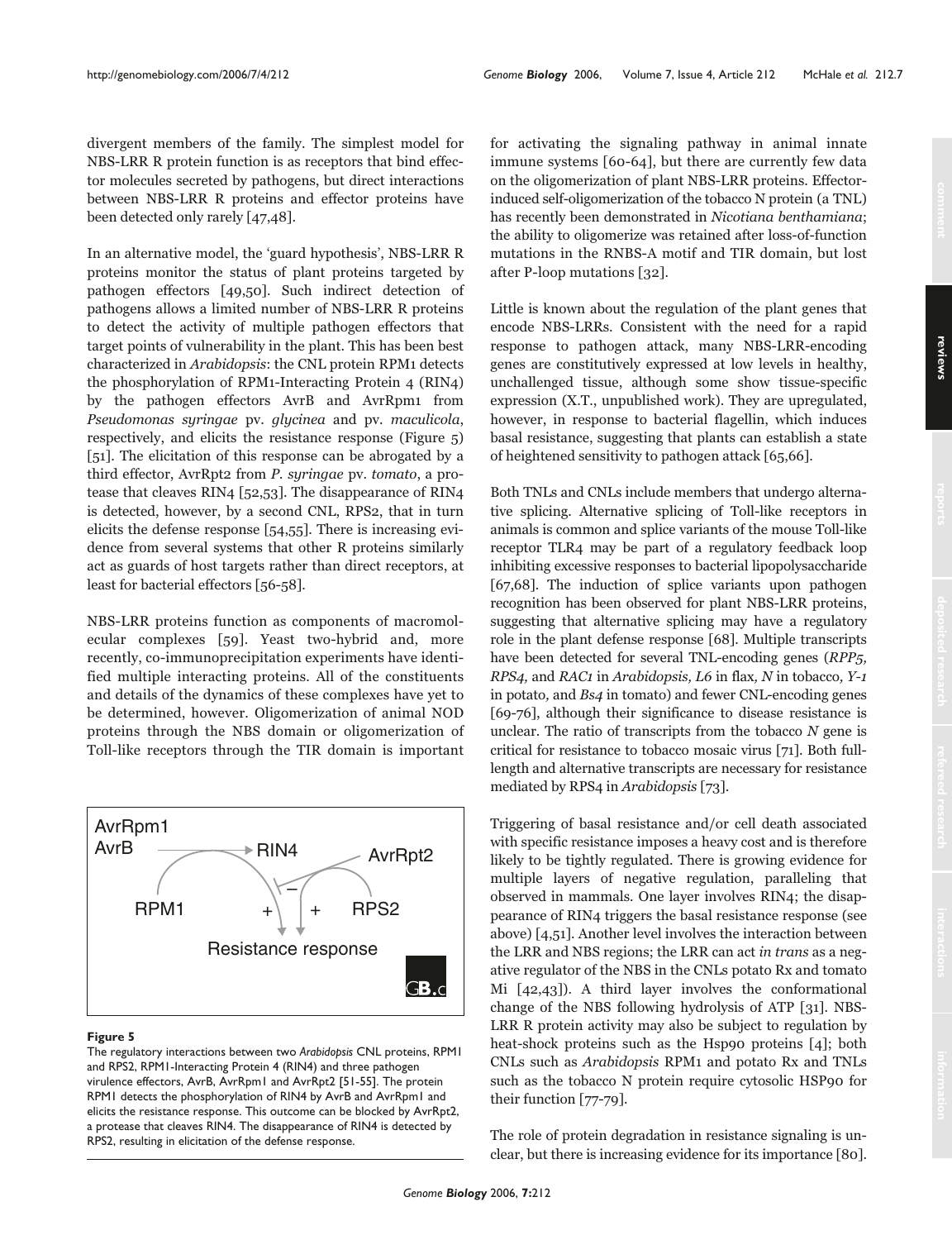divergent members of the family. The simplest model for NBS-LRR R protein function is as receptors that bind effector molecules secreted by pathogens, but direct interactions between NBS-LRR R proteins and effector proteins have been detected only rarely [47,48].

In an alternative model, the 'guard hypothesis', NBS-LRR R proteins monitor the status of plant proteins targeted by pathogen effectors [49,50]. Such indirect detection of pathogens allows a limited number of NBS-LRR R proteins to detect the activity of multiple pathogen effectors that target points of vulnerability in the plant. This has been best characterized in Arabidopsis: the CNL protein RPM1 detects the phosphorylation of RPM1-Interacting Protein 4 (RIN4) by the pathogen effectors AvrB and AvrRpm1 from Pseudomonas syringae pv. glycinea and pv. maculicola, respectively, and elicits the resistance response (Figure 5) [51]. The elicitation of this response can be abrogated by a third effector, AvrRpt2 from P. syringae pv. tomato, a protease that cleaves RIN4 [52,53]. The disappearance of RIN4 is detected, however, by a second CNL, RPS2, that in turn elicits the defense response [54,55]. There is increasing evidence from several systems that other R proteins similarly act as guards of host targets rather than direct receptors, at least for bacterial effectors [56-58].

NBS-LRR proteins function as components of macromolecular complexes [59]. Yeast two-hybrid and, more recently, co-immunoprecipitation experiments have identified multiple interacting proteins. All of the constituents and details of the dynamics of these complexes have yet to be determined, however. Oligomerization of animal NOD proteins through the NBS domain or oligomerization of Toll-like receptors through the TIR domain is important



#### **Figure 5**

The regulatory interactions between two *Arabidopsis* CNL proteins, RPM1 and RPS2, RPM1-Interacting Protein 4 (RIN4) and three pathogen virulence effectors, AvrB, AvrRpm1 and AvrRpt2 [51-55]. The protein RPM1 detects the phosphorylation of RIN4 by AvrB and AvrRpm1 and elicits the resistance response. This outcome can be blocked by AvrRpt2, a protease that cleaves RIN4. The disappearance of RIN4 is detected by RPS2, resulting in elicitation of the defense response.

for activating the signaling pathway in animal innate immune systems [60-64], but there are currently few data on the oligomerization of plant NBS-LRR proteins. Effectorinduced self-oligomerization of the tobacco N protein (a TNL) has recently been demonstrated in Nicotiana benthamiana; the ability to oligomerize was retained after loss-of-function mutations in the RNBS-A motif and TIR domain, but lost after P-loop mutations [32].

Little is known about the regulation of the plant genes that encode NBS-LRRs. Consistent with the need for a rapid response to pathogen attack, many NBS-LRR-encoding genes are constitutively expressed at low levels in healthy, unchallenged tissue, although some show tissue-specific expression (X.T., unpublished work). They are upregulated, however, in response to bacterial flagellin, which induces basal resistance, suggesting that plants can establish a state of heightened sensitivity to pathogen attack [65,66].

Both TNLs and CNLs include members that undergo alternative splicing. Alternative splicing of Toll-like receptors in animals is common and splice variants of the mouse Toll-like receptor TLR4 may be part of a regulatory feedback loop inhibiting excessive responses to bacterial lipopolysaccharide [67,68]. The induction of splice variants upon pathogen recognition has been observed for plant NBS-LRR proteins, suggesting that alternative splicing may have a regulatory role in the plant defense response [68]. Multiple transcripts have been detected for several TNL-encoding genes (RPP5, RPS4, and RAC1 in Arabidopsis, L6 in flax, N in tobacco, Y-1 in potato, and Bs4 in tomato) and fewer CNL-encoding genes [69-76], although their significance to disease resistance is unclear. The ratio of transcripts from the tobacco  $N$  gene is critical for resistance to tobacco mosaic virus [71]. Both fulllength and alternative transcripts are necessary for resistance mediated by RPS4 in Arabidopsis [73].

Triggering of basal resistance and/or cell death associated with specific resistance imposes a heavy cost and is therefore likely to be tightly regulated. There is growing evidence for multiple layers of negative regulation, paralleling that observed in mammals. One layer involves RIN4; the disappearance of RIN4 triggers the basal resistance response (see above) [4,51]. Another level involves the interaction between the LRR and NBS regions; the LRR can act in trans as a negative regulator of the NBS in the CNLs potato Rx and tomato Mi [42,43]). A third layer involves the conformational change of the NBS following hydrolysis of ATP [31]. NBS-LRR R protein activity may also be subject to regulation by heat-shock proteins such as the Hsp90 proteins [4]; both CNLs such as Arabidopsis RPM1 and potato Rx and TNLs such as the tobacco N protein require cytosolic HSP90 for their function [77-79].

The role of protein degradation in resistance signaling is unclear, but there is increasing evidence for its importance [80].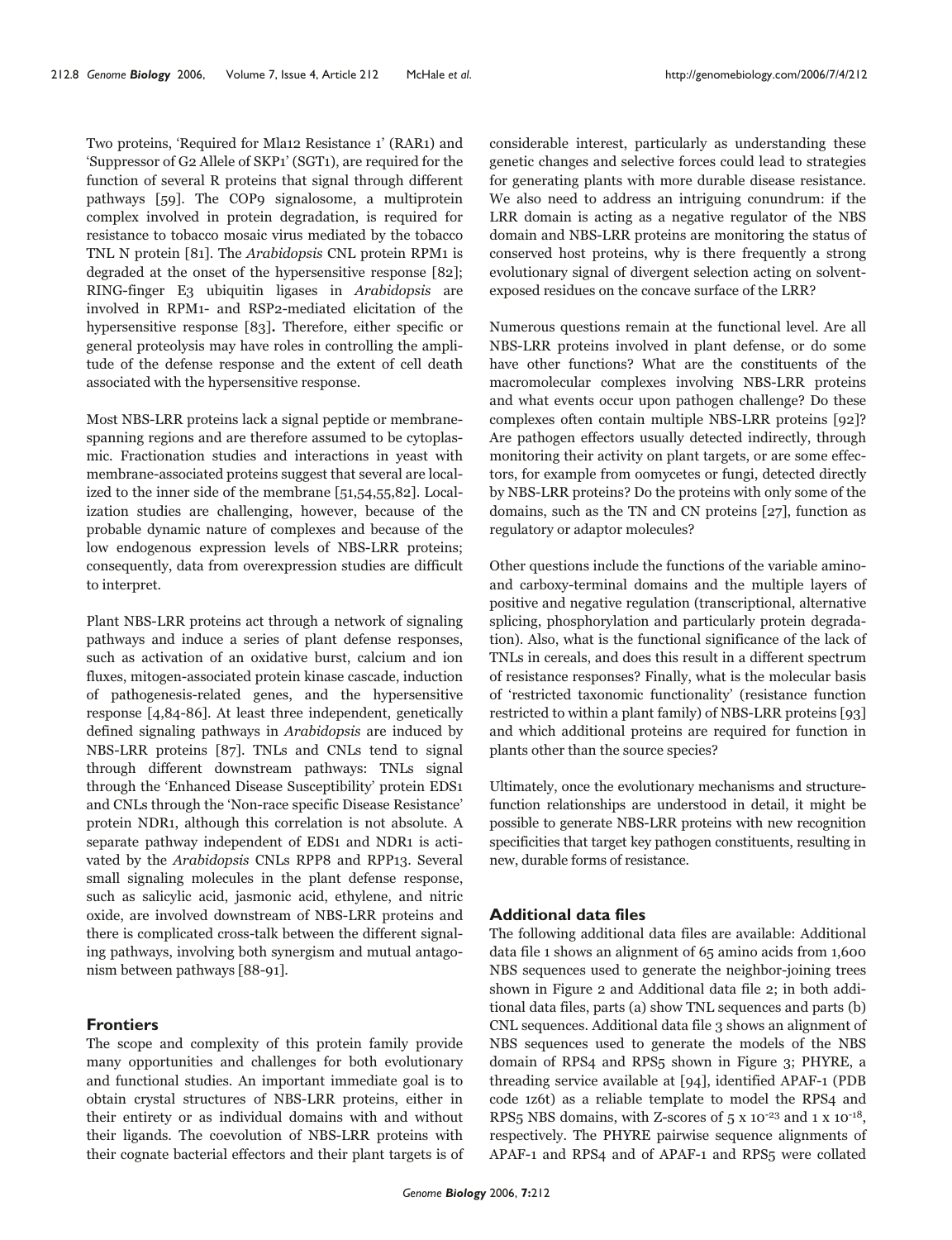Two proteins, 'Required for Mla12 Resistance 1' (RAR1) and 'Suppressor of G2 Allele of SKP1' (SGT1), are required for the function of several R proteins that signal through different pathways [59]. The COP9 signalosome, a multiprotein complex involved in protein degradation, is required for resistance to tobacco mosaic virus mediated by the tobacco TNL N protein [81]. The Arabidopsis CNL protein RPM1 is degraded at the onset of the hypersensitive response [82]; RING-finger E3 ubiquitin ligases in Arabidopsis are involved in RPM1- and RSP2-mediated elicitation of the hypersensitive response [83]. Therefore, either specific or general proteolysis may have roles in controlling the amplitude of the defense response and the extent of cell death associated with the hypersensitive response.

Most NBS-LRR proteins lack a signal peptide or membranespanning regions and are therefore assumed to be cytoplasmic. Fractionation studies and interactions in yeast with membrane-associated proteins suggest that several are localized to the inner side of the membrane [51,54,55,82]. Localization studies are challenging, however, because of the probable dynamic nature of complexes and because of the low endogenous expression levels of NBS-LRR proteins; consequently, data from overexpression studies are difficult to interpret.

Plant NBS-LRR proteins act through a network of signaling pathways and induce a series of plant defense responses, such as activation of an oxidative burst, calcium and ion fluxes, mitogen-associated protein kinase cascade, induction of pathogenesis-related genes, and the hypersensitive response [4,84-86]. At least three independent, genetically defined signaling pathways in Arabidopsis are induced by NBS-LRR proteins [87]. TNLs and CNLs tend to signal through different downstream pathways: TNLs signal through the 'Enhanced Disease Susceptibility' protein EDS1 and CNLs through the 'Non-race specific Disease Resistance' protein NDR1, although this correlation is not absolute. A separate pathway independent of EDS1 and NDR1 is activated by the Arabidopsis CNLs RPP8 and RPP13. Several small signaling molecules in the plant defense response, such as salicylic acid, jasmonic acid, ethylene, and nitric oxide, are involved downstream of NBS-LRR proteins and there is complicated cross-talk between the different signaling pathways, involving both synergism and mutual antagonism between pathways [88-91].

## **Frontiers**

The scope and complexity of this protein family provide many opportunities and challenges for both evolutionary and functional studies. An important immediate goal is to obtain crystal structures of NBS-LRR proteins, either in their entirety or as individual domains with and without their ligands. The coevolution of NBS-LRR proteins with their cognate bacterial effectors and their plant targets is of considerable interest, particularly as understanding these genetic changes and selective forces could lead to strategies for generating plants with more durable disease resistance. We also need to address an intriguing conundrum: if the LRR domain is acting as a negative regulator of the NBS domain and NBS-LRR proteins are monitoring the status of conserved host proteins, why is there frequently a strong evolutionary signal of divergent selection acting on solventexposed residues on the concave surface of the LRR?

Numerous questions remain at the functional level. Are all NBS-LRR proteins involved in plant defense, or do some have other functions? What are the constituents of the macromolecular complexes involving NBS-LRR proteins and what events occur upon pathogen challenge? Do these complexes often contain multiple NBS-LRR proteins [92]? Are pathogen effectors usually detected indirectly, through monitoring their activity on plant targets, or are some effectors, for example from oomycetes or fungi, detected directly by NBS-LRR proteins? Do the proteins with only some of the domains, such as the TN and CN proteins [27], function as regulatory or adaptor molecules?

Other questions include the functions of the variable aminoand carboxy-terminal domains and the multiple layers of positive and negative regulation (transcriptional, alternative splicing, phosphorylation and particularly protein degradation). Also, what is the functional significance of the lack of TNLs in cereals, and does this result in a different spectrum of resistance responses? Finally, what is the molecular basis of 'restricted taxonomic functionality' (resistance function restricted to within a plant family) of NBS-LRR proteins [93] and which additional proteins are required for function in plants other than the source species?

Ultimately, once the evolutionary mechanisms and structurefunction relationships are understood in detail, it might be possible to generate NBS-LRR proteins with new recognition specificities that target key pathogen constituents, resulting in new, durable forms of resistance.

## **Additional data files**

The following additional data files are available: Additional data file 1 shows an alignment of 65 amino acids from 1,600 NBS sequences used to generate the neighbor-joining trees shown in Figure 2 and Additional data file 2; in both additional data files, parts (a) show TNL sequences and parts (b) CNL sequences. Additional data file 3 shows an alignment of NBS sequences used to generate the models of the NBS domain of RPS4 and RPS5 shown in Figure 3; PHYRE, a threading service available at [94], identified APAF-1 (PDB code 1z6t) as a reliable template to model the RPS4 and RPS5 NBS domains, with Z-scores of 5 x 10-23 and 1 x 10-18, respectively. The PHYRE pairwise sequence alignments of APAF-1 and RPS4 and of APAF-1 and RPS5 were collated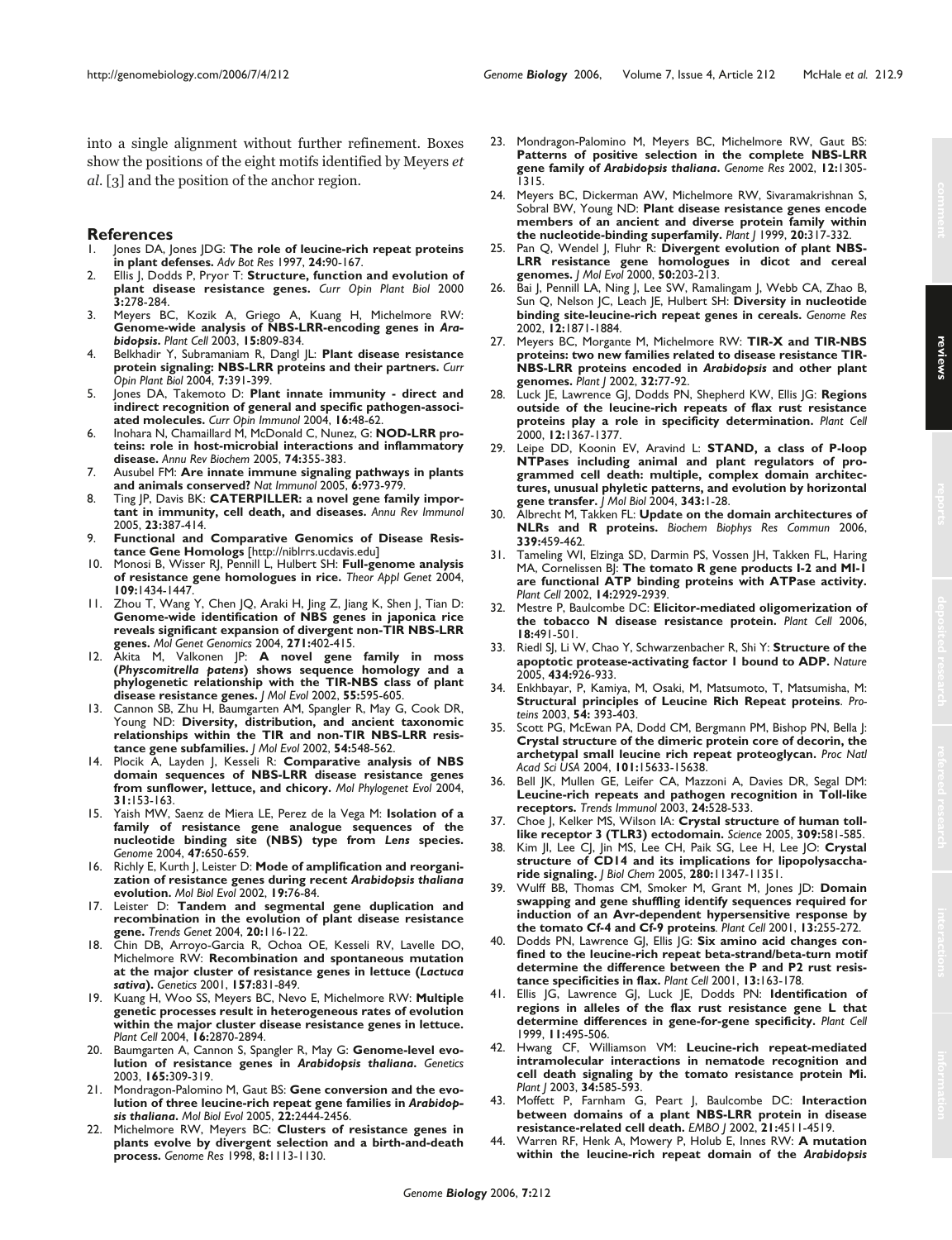into a single alignment without further refinement. Boxes show the positions of the eight motifs identified by Meyers et al. [3] and the position of the anchor region.

## **References**<br>L. lones DA. k

- Jones DA, Jones JDG: The role of leucine-rich repeat proteins **in plant defenses.** *Adv Bot Res* 1997, **24:**90-167.
- 2. Ellis J, Dodds P, Pryor T: **Structure, function and evolution of plant disease resistance genes.** *Curr Opin Plant Biol* 2000 **3:**278-284.
- 3. Meyers BC, Kozik A, Griego A, Kuang H, Michelmore RW: **Genome-wide analysis of NBS-LRR-encoding genes in** *Arabidopsis***.** *Plant Cell* 2003, **15:**809-834.
- 4. Belkhadir Y, Subramaniam R, Dangl JL: **Plant disease resistance protein signaling: NBS-LRR proteins and their partners.** *Curr Opin Plant Biol* 2004, **7:**391-399.
- 5. Jones DA, Takemoto D: **Plant innate immunity direct and indirect recognition of general and specific pathogen-associated molecules.** *Curr Opin Immunol* 2004, **16:**48-62.
- Inohara N, Chamaillard M, McDonald C, Nunez, G: **NOD-LRR proteins: role in host-microbial interactions and inflammatory disease.** *Annu Rev Biochem* 2005, **74:**355-383.
- 7. Ausubel FM: **Are innate immune signaling pathways in plants and animals conserved?** *Nat Immunol* 2005, **6:**973-979.
- 8. Ting JP, Davis BK: **CATERPILLER: a novel gene family important in immunity, cell death, and diseases.** *Annu Rev Immunol* 2005, **23:**387-414.
- 9. **Functional and Comparative Genomics of Disease Resistance Gene Homologs** [http://niblrrs.ucdavis.edu]
- 10. Monosi B, Wisser RJ, Pennill L, Hulbert SH: **Full-genome analysis of resistance gene homologues in rice.** *Theor Appl Genet* 2004, **109:**1434-1447.
- 11. Zhou T, Wang Y, Chen JQ, Araki H, Jing Z, Jiang K, Shen J, Tian D: **Genome-wide identification of NBS genes in japonica rice reveals significant expansion of divergent non-TIR NBS-LRR genes.** *Mol Genet Genomics* 2004, **271:**402-415.
- 12. Akita M, Valkonen JP: **A novel gene family in moss (***Physcomitrella patens***) shows sequence homology and a phylogenetic relationship with the TIR-NBS class of plant disease resistance genes.** *J Mol Evol* 2002, **55:**595-605.
- Cannon SB, Zhu H, Baumgarten AM, Spangler R, May G, Cook DR, Young ND: **Diversity, distribution, and ancient taxonomic relationships within the TIR and non-TIR NBS-LRR resistance gene subfamilies.** *J Mol Evol* 2002, **54:**548-562.
- 14. Plocik A, Layden J, Kesseli R: **Comparative analysis of NBS domain sequences of NBS-LRR disease resistance genes from sunflower, lettuce, and chicory.** *Mol Phylogenet Evol* 2004, **31:**153-163.
- 15. Yaish MW, Saenz de Miera LE, Perez de la Vega M: **Isolation of a family of resistance gene analogue sequences of the nucleotide binding site (NBS) type from** *Lens* **species.** *Genome* 2004, **47:**650-659.
- 16. Richly E, Kurth J, Leister D: **Mode of amplification and reorganization of resistance genes during recent** *Arabidopsis thaliana* **evolution.** *Mol Biol Evol* 2002, **19:**76-84.
- 17. Leister D: **Tandem and segmental gene duplication and recombination in the evolution of plant disease resistance gene.** *Trends Genet* 2004, **20:**116-122.
- 18. Chin DB, Arroyo-Garcia R, Ochoa OE, Kesseli RV, Lavelle DO, Michelmore RW: **Recombination and spontaneous mutation at the major cluster of resistance genes in lettuce (***Lactuca sativa***).** *Genetics* 2001, **157:**831-849.
- 19. Kuang H, Woo SS, Meyers BC, Nevo E, Michelmore RW: **Multiple genetic processes result in heterogeneous rates of evolution within the major cluster disease resistance genes in lettuce.** *Plant Cell* 2004, **16:**2870-2894.
- 20. Baumgarten A, Cannon S, Spangler R, May G: **Genome-level evolution of resistance genes in** *Arabidopsis thaliana***.** *Genetics* 2003, **165:**309-319.
- 21. Mondragon-Palomino M, Gaut BS: **Gene conversion and the evolution of three leucine-rich repeat gene families in** *Arabidopsis thaliana***.** *Mol Biol Evol* 2005, **22:**2444-2456.
- 22. Michelmore RW, Meyers BC: **Clusters of resistance genes in plants evolve by divergent selection and a birth-and-death process.** *Genome Res* 1998, **8:**1113-1130.
- 23. Mondragon-Palomino M, Meyers BC, Michelmore RW, Gaut BS: **Patterns of positive selection in the complete NBS-LRR gene family of** *Arabidopsis thaliana***.** *Genome Res* 2002, **12:**1305- 1315.
- 24. Meyers BC, Dickerman AW, Michelmore RW, Sivaramakrishnan S, Sobral BW, Young ND: **Plant disease resistance genes encode members of an ancient and diverse protein family within the nucleotide-binding superfamily.** *Plant J* 1999, **20:**317-332.
- 25. Pan Q, Wendel J, Fluhr R: **Divergent evolution of plant NBS-LRR resistance gene homologues in dicot and cereal genomes.** *J Mol Evol* 2000, **50:**203-213.
- 26. Bai J, Pennill LA, Ning J, Lee SW, Ramalingam J, Webb CA, Zhao B, Sun Q, Nelson JC, Leach JE, Hulbert SH: **Diversity in nucleotide binding site-leucine-rich repeat genes in cereals.** *Genome Res* 2002, **12:**1871-1884.
- 27. Meyers BC, Morgante M, Michelmore RW: **TIR-X and TIR-NBS proteins: two new families related to disease resistance TIR-NBS-LRR proteins encoded in** *Arabidopsis* **and other plant genomes.** *Plant J* 2002, **32:**77-92.
- 28. Luck JE, Lawrence GJ, Dodds PN, Shepherd KW, Ellis JG: **Regions outside of the leucine-rich repeats of flax rust resistance proteins play a role in specificity determination.** *Plant Cell* 2000, **12:**1367-1377.
- 29. Leipe DD, Koonin EV, Aravind L: **STAND, a class of P-loop NTPases including animal and plant regulators of programmed cell death: multiple, complex domain architectures, unusual phyletic patterns, and evolution by horizontal gene transfer.** *J Mol Biol* 2004, **343:**1-28.
- 30. Albrecht M, Takken FL: **Update on the domain architectures of NLRs and R proteins.** *Biochem Biophys Res Commun* 2006, **339:**459-462.
- 31. Tameling WI, Elzinga SD, Darmin PS, Vossen JH, Takken FL, Haring MA, Cornelissen BJ: **The tomato R gene products I-2 and MI-1 are functional ATP binding proteins with ATPase activity.** *Plant Cell* 2002, **14:**2929-2939.
- 32. Mestre P, Baulcombe DC: **Elicitor-mediated oligomerization of the tobacco N disease resistance protein.** *Plant Cell* 2006, **18:**491-501.
- 33. Riedl SJ, Li W, Chao Y, Schwarzenbacher R, Shi Y: **Structure of the apoptotic protease-activating factor 1 bound to ADP.** *Nature* 2005, **434:**926-933.
- 34. Enkhbayar, P, Kamiya, M, Osaki, M, Matsumoto, T, Matsumisha, M: **Structural principles of Leucine Rich Repeat proteins**. *Proteins* 2003, **54:** 393-403.
- 35. Scott PG, McEwan PA, Dodd CM, Bergmann PM, Bishop PN, Bella J: **Crystal structure of the dimeric protein core of decorin, the archetypal small leucine rich repeat proteoglycan.** *Proc Natl Acad Sci USA* 2004, **101:**15633-15638.
- 36. Bell JK, Mullen GE, Leifer CA, Mazzoni A, Davies DR, Segal DM: **Leucine-rich repeats and pathogen recognition in Toll-like receptors.** *Trends Immunol* 2003, **24:**528-533.
- 37. Choe J, Kelker MS, Wilson IA: **Crystal structure of human tolllike receptor 3 (TLR3) ectodomain.** *Science* 2005, **309:**581-585.
- 38. Kim JI, Lee CJ, Jin MS, Lee CH, Paik SG, Lee H, Lee JO: **Crystal structure of CD14 and its implications for lipopolysaccharide signaling.** *J Biol Chem* 2005, **280:**11347-11351.
- 39. Wulff BB, Thomas CM, Smoker M, Grant M, Jones JD: **Domain swapping and gene shuffling identify sequences required for induction of an Avr-dependent hypersensitive response by the tomato Cf-4 and Cf-9 proteins***. Plant Cell* 2001, **13:**255-272.
- Dodds PN, Lawrence GJ, Ellis JG: Six amino acid changes con**fined to the leucine-rich repeat beta-strand/beta-turn motif determine the difference between the P and P2 rust resistance specificities in flax.** *Plant Cell* 2001, **13:**163-178.
- 41. Ellis JG, Lawrence GJ, Luck JE, Dodds PN: **Identification of regions in alleles of the flax rust resistance gene L that determine differences in gene-for-gene specificity.** *Plant Cell* 1999, **11:**495-506.
- 42. Hwang CF, Williamson VM: **Leucine-rich repeat-mediated intramolecular interactions in nematode recognition and cell death signaling by the tomato resistance protein Mi.** *Plant J* 2003, **34:**585-593.
- 43. Moffett P, Farnham G, Peart J, Baulcombe DC: **Interaction between domains of a plant NBS-LRR protein in disease resistance-related cell death.** *EMBO J* 2002, **21:**4511-4519.
- 44. Warren RF, Henk A, Mowery P, Holub E, Innes RW: **A mutation within the leucine-rich repeat domain of the** *Arabidopsis*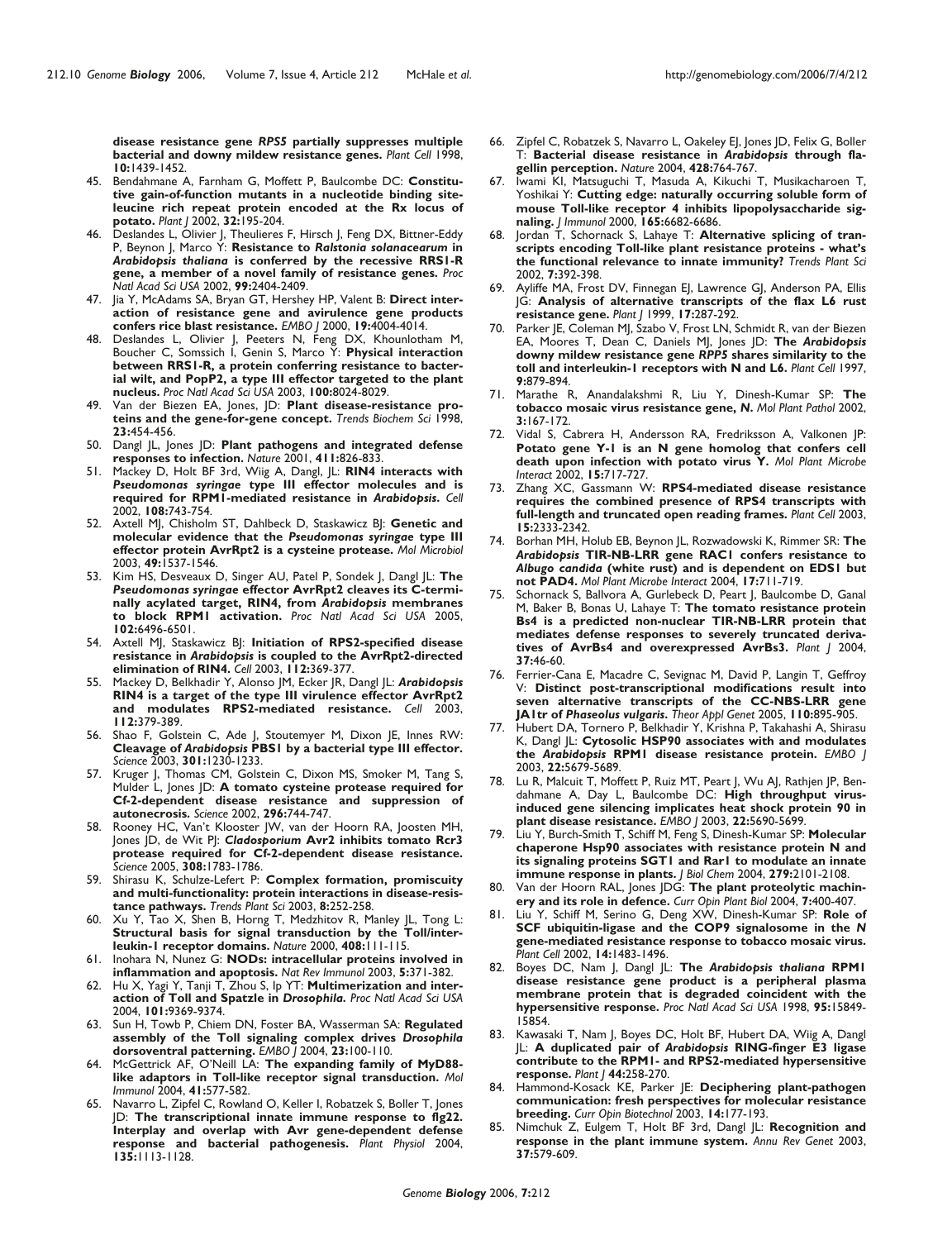**disease resistance gene** *RPS5* **partially suppresses multiple bacterial and downy mildew resistance genes.** *Plant Cell* 1998, **10:**1439-1452.

- 45. Bendahmane A, Farnham G, Moffett P, Baulcombe DC: **Constitutive gain-of-function mutants in a nucleotide binding siteleucine rich repeat protein encoded at the Rx locus of potato.** *Plant J* 2002, **32:**195-204.
- 46. Deslandes L, Olivier J, Theulieres F, Hirsch J, Feng DX, Bittner-Eddy P, Beynon J, Marco Y: **Resistance to** *Ralstonia solanacearum* **in** *Arabidopsis thaliana* **is conferred by the recessive RRS1-R gene, a member of a novel family of resistance genes.** *Proc Natl Acad Sci USA* 2002, **99:**2404-2409.
- 47. Jia Y, McAdams SA, Bryan GT, Hershey HP, Valent B: **Direct interaction of resistance gene and avirulence gene products confers rice blast resistance.** *EMBO J* 2000, **19:**4004-4014.
- 48. Deslandes L, Olivier J, Peeters N, Feng DX, Khounlotham M, Boucher C, Somssich I, Genin S, Marco Y: **Physical interaction between RRS1-R, a protein conferring resistance to bacterial wilt, and PopP2, a type III effector targeted to the plant nucleus.** *Proc Natl Acad Sci USA* 2003, **100:**8024-8029.
- Van der Biezen EA, Jones, JD: Plant disease-resistance pro**teins and the gene-for-gene concept.** *Trends Biochem Sci* 1998, **23:**454-456.
- 50. Dangl JL, Jones JD: **Plant pathogens and integrated defense responses to infection.** *Nature* 2001, **411:**826-833.
- 51. Mackey D, Holt BF 3rd, Wiig A, Dangl, JL: **RIN4 interacts with** *Pseudomonas syringae* **type III effector molecules and is required for RPM1-mediated resistance in** *Arabidopsis***.** *Cell* 2002, **108:**743-754.
- 52. Axtell MJ, Chisholm ST, Dahlbeck D, Staskawicz BJ: **Genetic and molecular evidence that the** *Pseudomonas syringae* **type III effector protein AvrRpt2 is a cysteine protease.** *Mol Microbiol* 2003, **49:**1537-1546.
- 53. Kim HS, Desveaux D, Singer AU, Patel P, Sondek J, Dangl JL: **The** *Pseudomonas syringae* **effector AvrRpt2 cleaves its C-terminally acylated target, RIN4, from** *Arabidopsis* **membranes to block RPM1 activation.** *Proc Natl Acad Sci USA* 2005, **102:**6496-6501.
- 54. Axtell MJ, Staskawicz BJ: **Initiation of RPS2-specified disease resistance in** *Arabidopsis* **is coupled to the AvrRpt2-directed elimination of RIN4.** *Cell* 2003, **112:**369-377.
- 55. Mackey D, Belkhadir Y, Alonso JM, Ecker JR, Dangl JL: *Arabidopsis* **RIN4 is a target of the type III virulence effector AvrRpt2 and modulates RPS2-mediated resistance.** *Cell* 2003, **112:**379-389.
- 56. Shao F, Golstein C, Ade J, Stoutemyer M, Dixon JE, Innes RW: **Cleavage of** *Arabidopsis* **PBS1 by a bacterial type III effector.** *Science* 2003, **301:**1230-1233.
- 57. Kruger J, Thomas CM, Golstein C, Dixon MS, Smoker M, Tang S, Mulder L, Jones JD: **A tomato cysteine protease required for Cf-2-dependent disease resistance autonecrosis.** *Science* 2002, **296:**744-747.
- 58. Rooney HC, Van't Klooster JW, van der Hoorn RA, Joosten MH, Jones JD, de Wit PJ: *Cladosporium* **Avr2 inhibits tomato Rcr3 protease required for Cf-2-dependent disease resistance.** *Science* 2005, **308:**1783-1786.
- 59. Shirasu K, Schulze-Lefert P: **Complex formation, promiscuity and multi-functionality: protein interactions in disease-resistance pathways.** *Trends Plant Sci* 2003, **8:**252-258.
- 60. Xu Y, Tao X, Shen B, Horng T, Medzhitov R, Manley JL, Tong L: **Structural basis for signal transduction by the Toll/interleukin-1 receptor domains.** *Nature* 2000, **408:**111-115.
- 61. Inohara N, Nunez G: **NODs: intracellular proteins involved in inflammation and apoptosis.** *Nat Rev Immunol* 2003, **5:**371-382.
- 62. Hu X, Yagi Y, Tanji T, Zhou S, Ip YT: **Multimerization and interaction of Toll and Spatzle in** *Drosophila. Proc Natl Acad Sci USA* 2004, **101:**9369-9374.
- 63. Sun H, Towb P, Chiem DN, Foster BA, Wasserman SA: **Regulated assembly of the Toll signaling complex drives** *Drosophila* **dorsoventral patterning.** *EMBO J* 2004, **23:**100-110.
- 64. McGettrick AF, O'Neill LA: **The expanding family of MyD88 like adaptors in Toll-like receptor signal transduction.** *Mol Immunol* 2004, **41:**577-582.
- 65. Navarro L, Zipfel C, Rowland O, Keller I, Robatzek S, Boller T, Jones JD: **The transcriptional innate immune response to flg22. Interplay and overlap with Avr gene-dependent defense response and bacterial pathogenesis.** *Plant Physiol* 2004, **135:**1113-1128.
- 66. Zipfel C, Robatzek S, Navarro L, Oakeley EJ, Jones JD, Felix G, Boller T: **Bacterial disease resistance in** *Arabidopsis* **through flagellin perception.** *Nature* 2004, **428:**764-767.
- 67. Iwami KI, Matsuguchi T, Masuda A, Kikuchi T, Musikacharoen T, Yoshikai Y: **Cutting edge: naturally occurring soluble form of mouse Toll-like receptor 4 inhibits lipopolysaccharide signaling.** *J Immunol* 2000, **165:**6682-6686.
- 68. Jordan T, Schornack S, Lahaye T: **Alternative splicing of transcripts encoding Toll-like plant resistance proteins - what's the functional relevance to innate immunity?** *Trends Plant Sci* 2002, **7:**392-398.
- Ayliffe MA, Frost DV, Finnegan EJ, Lawrence GJ, Anderson PA, Ellis JG: **Analysis of alternative transcripts of the flax L6 rust resistance gene.** *Plant J* 1999, **17:**287-292.
- 70. Parker JE, Coleman MJ, Szabo V, Frost LN, Schmidt R, van der Biezen EA, Moores T, Dean C, Daniels MJ, Jones JD: **The** *Arabidopsis* **downy mildew resistance gene** *RPP5* **shares similarity to the toll and interleukin-1 receptors with N and L6.** *Plant Cell* 1997, **9:**879-894.
- 71. Marathe R, Anandalakshmi R, Liu Y, Dinesh-Kumar SP: **The tobacco mosaic virus resistance gene,** *N***.** *Mol Plant Pathol* 2002, **3:**167-172.
- 72. Vidal S, Cabrera H, Andersson RA, Fredriksson A, Valkonen JP: **Potato gene Y-1 is an N gene homolog that confers cell death upon infection with potato virus Y.** *Mol Plant Microbe Interact* 2002, **15:**717-727.
- 73. Zhang XC, Gassmann W: **RPS4-mediated disease resistance requires the combined presence of RPS4 transcripts with full-length and truncated open reading frames.** *Plant Cell* 2003, **15:**2333-2342.
- 74. Borhan MH, Holub EB, Beynon JL, Rozwadowski K, Rimmer SR: **The** *Arabidopsis* **TIR-NB-LRR gene RAC1 confers resistance to** *Albugo candida* **(white rust) and is dependent on EDS1 but not PAD4.** *Mol Plant Microbe Interact* 2004, **17:**711-719.
- 75. Schornack S, Ballvora A, Gurlebeck D, Peart J, Baulcombe D, Ganal M, Baker B, Bonas U, Lahaye T: **The tomato resistance protein Bs4 is a predicted non-nuclear TIR-NB-LRR protein that mediates defense responses to severely truncated derivatives of AvrBs4 and overexpressed AvrBs3.** *Plant J* 2004, **37:**46-60.
- 76. Ferrier-Cana E, Macadre C, Sevignac M, David P, Langin T, Geffroy V: **Distinct post-transcriptional modifications result into seven alternative transcripts of the CC-NBS-LRR gene JA1tr of** *Phaseolus vulgaris***.** *Theor Appl Genet* 2005, **110:**895-905.
- 77. Hubert DA, Tornero P, Belkhadir Y, Krishna P, Takahashi A, Shirasu K, Dangl JL: **Cytosolic HSP90 associates with and modulates the** *Arabidopsis* **RPM1 disease resistance protein.** *EMBO J* 2003, **22:**5679-5689.
- Lu R, Malcuit T, Moffett P, Ruiz MT, Peart J, Wu AJ, Rathjen JP, Bendahmane A, Day L, Baulcombe DC: **High throughput virusinduced gene silencing implicates heat shock protein 90 in plant disease resistance.** *EMBO J* 2003, **22:**5690-5699.
- Liu Y, Burch-Smith T, Schiff M, Feng S, Dinesh-Kumar SP: Molecular **chaperone Hsp90 associates with resistance protein N and its signaling proteins SGT1 and Rar1 to modulate an innate immune response in plants.** *J Biol Chem* 2004, **279:**2101-2108.
- Van der Hoorn RAL, Jones JDG: The plant proteolytic machin**ery and its role in defence.** *Curr Opin Plant Biol* 2004, **7:**400-407.
- 81. Liu Y, Schiff M, Serino G, Deng XW, Dinesh-Kumar SP: **Role of SCF ubiquitin-ligase and the COP9 signalosome in the** *N* **gene-mediated resistance response to tobacco mosaic virus.** *Plant Cell* 2002, **14:**1483-1496.
- 82. Boyes DC, Nam J, Dangl JL: **The** *Arabidopsis thaliana* **RPM1 disease resistance gene product is a peripheral plasma membrane protein that is degraded coincident with the hypersensitive response.** *Proc Natl Acad Sci USA* 1998, **95:**15849- 15854.
- 83. Kawasaki T, Nam J, Boyes DC, Holt BF, Hubert DA, Wiig A, Dangl JL: **A duplicated pair of** *Arabidopsis* **RING-finger E3 ligase contribute to the RPM1- and RPS2-mediated hypersensitive response.** *Plant J* **44:**258-270.
- 84. Hammond-Kosack KE, Parker JE: **Deciphering plant-pathogen communication: fresh perspectives for molecular resistance breeding.** *Curr Opin Biotechnol* 2003, **14:**177-193.
- 85. Nimchuk Z, Eulgem T, Holt BF 3rd, Dangl JL: **Recognition and response in the plant immune system.** *Annu Rev Genet* 2003, **37:**579-609.